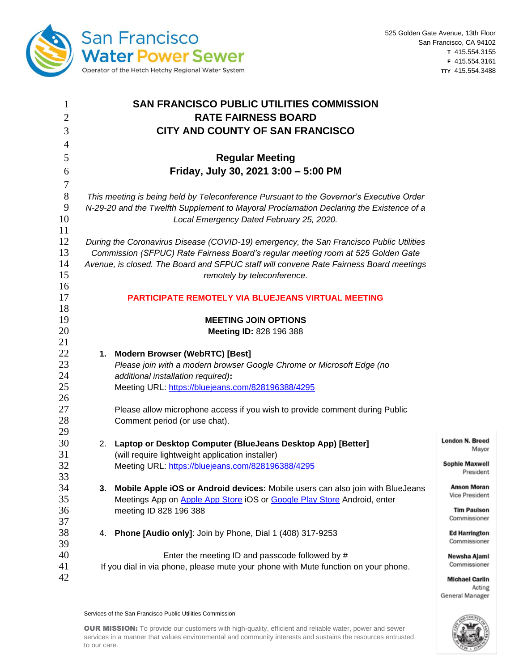

Acting

General Manager

| 1              | <b>SAN FRANCISCO PUBLIC UTILITIES COMMISSION</b>                                        |                                                                                         |                        |  |  |
|----------------|-----------------------------------------------------------------------------------------|-----------------------------------------------------------------------------------------|------------------------|--|--|
| $\overline{2}$ |                                                                                         | <b>RATE FAIRNESS BOARD</b>                                                              |                        |  |  |
| 3              |                                                                                         | CITY AND COUNTY OF SAN FRANCISCO                                                        |                        |  |  |
| $\overline{4}$ |                                                                                         |                                                                                         |                        |  |  |
| 5              |                                                                                         | <b>Regular Meeting</b>                                                                  |                        |  |  |
| 6              |                                                                                         | Friday, July 30, 2021 3:00 - 5:00 PM                                                    |                        |  |  |
| 7              |                                                                                         |                                                                                         |                        |  |  |
| $8\,$          | This meeting is being held by Teleconference Pursuant to the Governor's Executive Order |                                                                                         |                        |  |  |
| 9              | N-29-20 and the Twelfth Supplement to Mayoral Proclamation Declaring the Existence of a |                                                                                         |                        |  |  |
| 10             | Local Emergency Dated February 25, 2020.                                                |                                                                                         |                        |  |  |
| 11             |                                                                                         |                                                                                         |                        |  |  |
| 12             |                                                                                         | During the Coronavirus Disease (COVID-19) emergency, the San Francisco Public Utilities |                        |  |  |
| 13             | Commission (SFPUC) Rate Fairness Board's regular meeting room at 525 Golden Gate        |                                                                                         |                        |  |  |
| 14             |                                                                                         | Avenue, is closed. The Board and SFPUC staff will convene Rate Fairness Board meetings  |                        |  |  |
| 15             |                                                                                         | remotely by teleconference.                                                             |                        |  |  |
| 16             |                                                                                         |                                                                                         |                        |  |  |
| 17             |                                                                                         | PARTICIPATE REMOTELY VIA BLUEJEANS VIRTUAL MEETING                                      |                        |  |  |
| 18             |                                                                                         |                                                                                         |                        |  |  |
| 19             |                                                                                         | <b>MEETING JOIN OPTIONS</b>                                                             |                        |  |  |
| 20             |                                                                                         | Meeting ID: 828 196 388                                                                 |                        |  |  |
| 21             |                                                                                         |                                                                                         |                        |  |  |
| 22             |                                                                                         | 1. Modern Browser (WebRTC) [Best]                                                       |                        |  |  |
| 23             |                                                                                         | Please join with a modern browser Google Chrome or Microsoft Edge (no                   |                        |  |  |
| 24             |                                                                                         | additional installation required):                                                      |                        |  |  |
| 25             |                                                                                         | Meeting URL: https://bluejeans.com/828196388/4295                                       |                        |  |  |
| 26             |                                                                                         |                                                                                         |                        |  |  |
| 27             |                                                                                         | Please allow microphone access if you wish to provide comment during Public             |                        |  |  |
| 28             |                                                                                         | Comment period (or use chat).                                                           |                        |  |  |
| 29             |                                                                                         |                                                                                         | <b>London N. Breed</b> |  |  |
| 30<br>31       |                                                                                         | 2. Laptop or Desktop Computer (BlueJeans Desktop App) [Better]                          | Mayor                  |  |  |
| 32             |                                                                                         | (will require lightweight application installer)                                        | <b>Sophie Maxwell</b>  |  |  |
| 33             |                                                                                         | Meeting URL: https://bluejeans.com/828196388/4295                                       | President              |  |  |
| 34             | 3.                                                                                      | Mobile Apple iOS or Android devices: Mobile users can also join with BlueJeans          | <b>Anson Moran</b>     |  |  |
| 35             |                                                                                         | Meetings App on Apple App Store iOS or Google Play Store Android, enter                 | Vice President         |  |  |
| 36             |                                                                                         | meeting ID 828 196 388                                                                  | <b>Tim Paulson</b>     |  |  |
| 37             |                                                                                         |                                                                                         | Commissioner           |  |  |
| 38             | 4.                                                                                      | Phone [Audio only]: Join by Phone, Dial 1 (408) 317-9253                                | <b>Ed Harrington</b>   |  |  |
| 39             |                                                                                         |                                                                                         | Commissioner           |  |  |
| 40             |                                                                                         | Enter the meeting ID and passcode followed by #                                         | Newsha Ajami           |  |  |
| 41             |                                                                                         | If you dial in via phone, please mute your phone with Mute function on your phone.      | Commissioner           |  |  |
| 42             |                                                                                         |                                                                                         | <b>Michael Carlin</b>  |  |  |

Services of the San Francisco Public Utilities Commission

OUR MISSION: To provide our customers with high-quality, efficient and reliable water, power and sewer services in a manner that values environmental and community interests and sustains the resources entrusted to our care.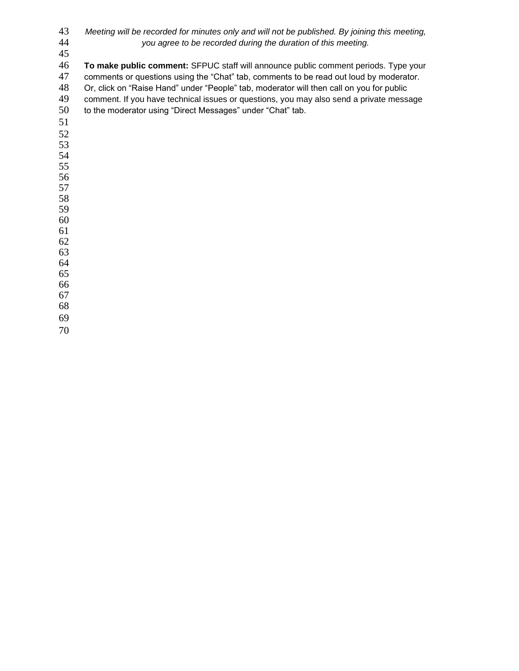| 43 | Meeting will be recorded for minutes only and will not be published. By joining this meeting, |
|----|-----------------------------------------------------------------------------------------------|
| 44 | you agree to be recorded during the duration of this meeting.                                 |
| 45 |                                                                                               |
| 46 | To make public comment: SFPUC staff will announce public comment periods. Type your           |
| 47 | comments or questions using the "Chat" tab, comments to be read out loud by moderator.        |
| 48 | Or, click on "Raise Hand" under "People" tab, moderator will then call on you for public      |
| 49 | comment. If you have technical issues or questions, you may also send a private message       |
| 50 | to the moderator using "Direct Messages" under "Chat" tab.                                    |
| 51 |                                                                                               |
| 52 |                                                                                               |
| 53 |                                                                                               |
| 54 |                                                                                               |
| 55 |                                                                                               |
| 56 |                                                                                               |
| 57 |                                                                                               |
| 58 |                                                                                               |
| 59 |                                                                                               |
| 60 |                                                                                               |
| 61 |                                                                                               |
| 62 |                                                                                               |
| 63 |                                                                                               |
| 64 |                                                                                               |
| 65 |                                                                                               |
| 66 |                                                                                               |
| 67 |                                                                                               |
| 68 |                                                                                               |
| 69 |                                                                                               |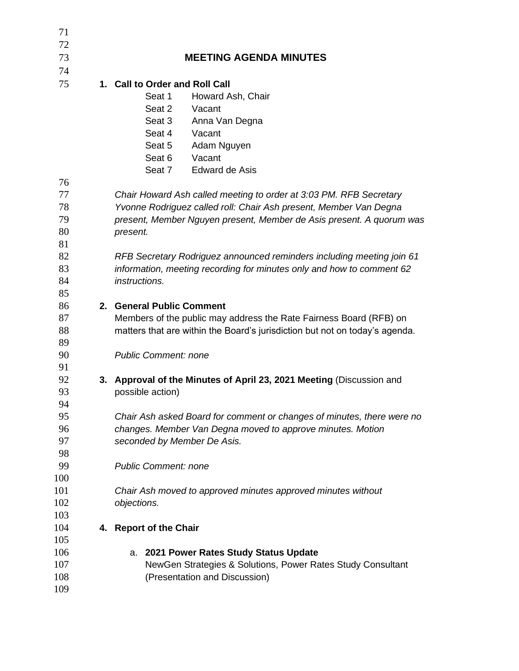| 71       |                                                                             |  |  |  |  |
|----------|-----------------------------------------------------------------------------|--|--|--|--|
| 72       |                                                                             |  |  |  |  |
| 73       | <b>MEETING AGENDA MINUTES</b>                                               |  |  |  |  |
| 74       |                                                                             |  |  |  |  |
| 75       | 1. Call to Order and Roll Call                                              |  |  |  |  |
|          | Seat 1<br>Howard Ash, Chair                                                 |  |  |  |  |
|          | Seat 2<br>Vacant                                                            |  |  |  |  |
|          | Seat 3<br>Anna Van Degna                                                    |  |  |  |  |
|          | Seat 4<br>Vacant                                                            |  |  |  |  |
|          | Seat 5<br>Adam Nguyen                                                       |  |  |  |  |
|          | Seat 6<br>Vacant                                                            |  |  |  |  |
|          | Seat 7<br>Edward de Asis                                                    |  |  |  |  |
| 76       |                                                                             |  |  |  |  |
| 77       | Chair Howard Ash called meeting to order at 3:03 PM. RFB Secretary          |  |  |  |  |
| 78       | Yvonne Rodriguez called roll: Chair Ash present, Member Van Degna           |  |  |  |  |
| 79       | present, Member Nguyen present, Member de Asis present. A quorum was        |  |  |  |  |
| 80       | present.                                                                    |  |  |  |  |
| 81       |                                                                             |  |  |  |  |
| 82       | RFB Secretary Rodriguez announced reminders including meeting join 61       |  |  |  |  |
| 83       | information, meeting recording for minutes only and how to comment 62       |  |  |  |  |
| 84       | instructions.                                                               |  |  |  |  |
| 85       |                                                                             |  |  |  |  |
| 86       | 2. General Public Comment                                                   |  |  |  |  |
| 87       | Members of the public may address the Rate Fairness Board (RFB) on          |  |  |  |  |
| 88       | matters that are within the Board's jurisdiction but not on today's agenda. |  |  |  |  |
| 89       |                                                                             |  |  |  |  |
| 90<br>91 | <b>Public Comment: none</b>                                                 |  |  |  |  |
| 92       | 3. Approval of the Minutes of April 23, 2021 Meeting (Discussion and        |  |  |  |  |
| 93       | possible action)                                                            |  |  |  |  |
| 94       |                                                                             |  |  |  |  |
| 95       | Chair Ash asked Board for comment or changes of minutes, there were no      |  |  |  |  |
| 96       | changes. Member Van Degna moved to approve minutes. Motion                  |  |  |  |  |
| 97       | seconded by Member De Asis.                                                 |  |  |  |  |
| 98       |                                                                             |  |  |  |  |
| 99       | <b>Public Comment: none</b>                                                 |  |  |  |  |
| 100      |                                                                             |  |  |  |  |
| 101      | Chair Ash moved to approved minutes approved minutes without                |  |  |  |  |
| 102      | objections.                                                                 |  |  |  |  |
| 103      |                                                                             |  |  |  |  |
| 104      | 4. Report of the Chair                                                      |  |  |  |  |
| 105      |                                                                             |  |  |  |  |
| 106      | 2021 Power Rates Study Status Update<br>а.                                  |  |  |  |  |
| 107      | NewGen Strategies & Solutions, Power Rates Study Consultant                 |  |  |  |  |
| 108      | (Presentation and Discussion)                                               |  |  |  |  |
| 109      |                                                                             |  |  |  |  |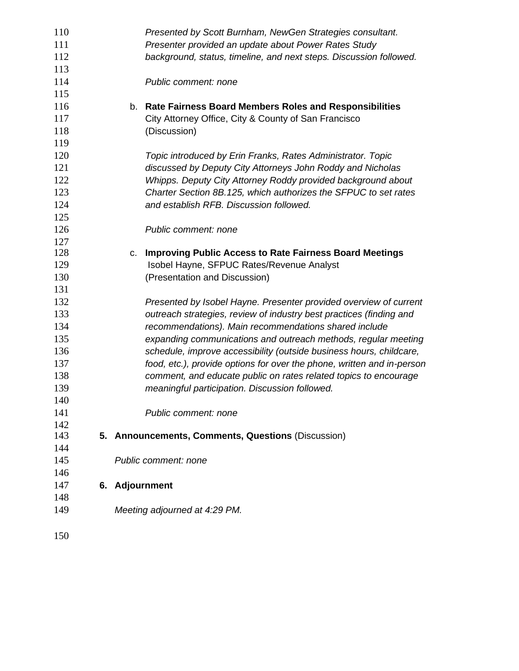| 110 | Presented by Scott Burnham, NewGen Strategies consultant.              |
|-----|------------------------------------------------------------------------|
| 111 | Presenter provided an update about Power Rates Study                   |
| 112 | background, status, timeline, and next steps. Discussion followed.     |
| 113 |                                                                        |
| 114 | Public comment: none                                                   |
| 115 |                                                                        |
| 116 | <b>Rate Fairness Board Members Roles and Responsibilities</b><br>b.    |
| 117 | City Attorney Office, City & County of San Francisco                   |
| 118 | (Discussion)                                                           |
| 119 |                                                                        |
| 120 | Topic introduced by Erin Franks, Rates Administrator. Topic            |
| 121 | discussed by Deputy City Attorneys John Roddy and Nicholas             |
| 122 | Whipps. Deputy City Attorney Roddy provided background about           |
| 123 | Charter Section 8B.125, which authorizes the SFPUC to set rates        |
| 124 | and establish RFB. Discussion followed.                                |
| 125 |                                                                        |
| 126 | Public comment: none                                                   |
| 127 |                                                                        |
| 128 | <b>Improving Public Access to Rate Fairness Board Meetings</b><br>C.   |
| 129 | Isobel Hayne, SFPUC Rates/Revenue Analyst                              |
| 130 | (Presentation and Discussion)                                          |
| 131 |                                                                        |
| 132 | Presented by Isobel Hayne. Presenter provided overview of current      |
| 133 | outreach strategies, review of industry best practices (finding and    |
| 134 | recommendations). Main recommendations shared include                  |
| 135 | expanding communications and outreach methods, regular meeting         |
| 136 | schedule, improve accessibility (outside business hours, childcare,    |
| 137 | food, etc.), provide options for over the phone, written and in-person |
| 138 | comment, and educate public on rates related topics to encourage       |
| 139 | meaningful participation. Discussion followed.                         |
| 140 |                                                                        |
| 141 | Public comment: none                                                   |
| 142 |                                                                        |
| 143 | 5. Announcements, Comments, Questions (Discussion)                     |
| 144 |                                                                        |
| 145 | Public comment: none                                                   |
| 146 |                                                                        |
| 147 | 6. Adjournment                                                         |
| 148 |                                                                        |
| 149 | Meeting adjourned at 4:29 PM.                                          |
| 150 |                                                                        |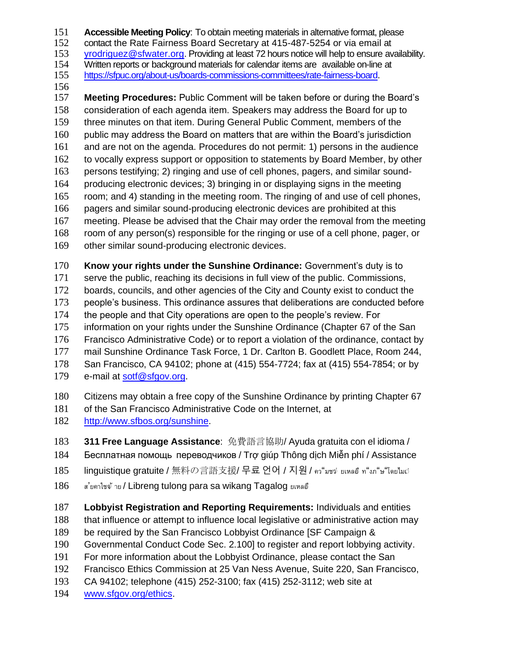**Accessible Meeting Policy**: To obtain meeting materials in alternative format, please

contact the Rate Fairness Board Secretary at 415-487-5254 or via email at

[yrodriguez@sfwater.org.](mailto:yrodriguez@sfwater.org) Providing at least 72 hours notice will help to ensure availability.

Written reports or background materials for calendar items are available on-line at

- [https://sfpuc.org/about-us/boards-commissions-committees/rate-fairness-board.](https://sfpuc.org/about-us/boards-commissions-committees/rate-fairness-board)
- 

 **Meeting Procedures:** Public Comment will be taken before or during the Board's consideration of each agenda item. Speakers may address the Board for up to three minutes on that item. During General Public Comment, members of the public may address the Board on matters that are within the Board's jurisdiction and are not on the agenda. Procedures do not permit: 1) persons in the audience to vocally express support or opposition to statements by Board Member, by other persons testifying; 2) ringing and use of cell phones, pagers, and similar sound- producing electronic devices; 3) bringing in or displaying signs in the meeting room; and 4) standing in the meeting room. The ringing of and use of cell phones, pagers and similar sound-producing electronic devices are prohibited at this meeting. Please be advised that the Chair may order the removal from the meeting room of any person(s) responsible for the ringing or use of a cell phone, pager, or other similar sound-producing electronic devices. **Know your rights under the Sunshine Ordinance:** Government's duty is to

serve the public, reaching its decisions in full view of the public. Commissions,

boards, councils, and other agencies of the City and County exist to conduct the

people's business. This ordinance assures that deliberations are conducted before

the people and that City operations are open to the people's review. For

information on your rights under the Sunshine Ordinance (Chapter 67 of the San

Francisco Administrative Code) or to report a violation of the ordinance, contact by

mail Sunshine Ordinance Task Force, 1 Dr. Carlton B. Goodlett Place, Room 244,

San Francisco, CA 94102; phone at (415) 554-7724; fax at (415) 554-7854; or by

e-mail at [sotf@sfgov.org.](mailto:sotf@sfgov.org)

Citizens may obtain a free copy of the Sunshine Ordinance by printing Chapter 67

181 of the San Francisco Administrative Code on the Internet, at

[http://www.sfbos.org/sunshine.](http://www.sfbos.org/sunshine)

**311 Free Language Assistance**: 免費語言協助/ Ayuda gratuita con el idioma /

Бесплатная помощь переводчиков / Trợ giúp Thông dịch Miễn phí / Assistance

185 linguistique gratuite / 無料の言語支援/ 무료 언어 / 지원 / คว"มชจ่ ยเหลอ์ ท"งภ"ษ"โดยไมเว่

ส'ยคาใชจ่ าย / Libreng tulong para sa wikang Tagalog ยเหลอ่

**Lobbyist Registration and Reporting Requirements:** Individuals and entities

that influence or attempt to influence local legislative or administrative action may

- be required by the San Francisco Lobbyist Ordinance [SF Campaign &
- Governmental Conduct Code Sec. 2.100] to register and report lobbying activity.
- For more information about the Lobbyist Ordinance, please contact the San
- Francisco Ethics Commission at 25 Van Ness Avenue, Suite 220, San Francisco,
- CA 94102; telephone (415) 252-3100; fax (415) 252-3112; web site at
- [www.sfgov.org/ethics.](http://www.sfgov.org/ethics)